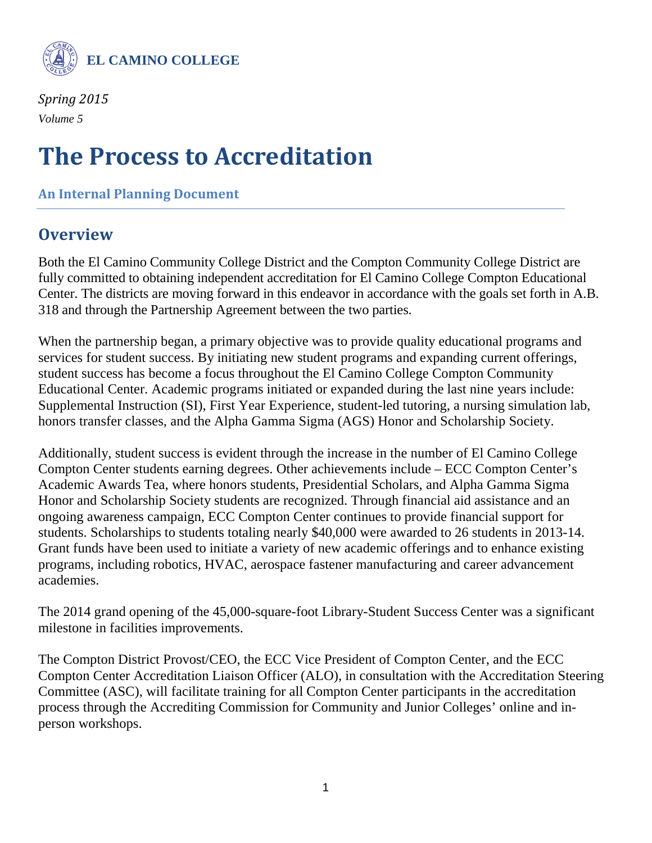

*Spring 2015 Volume 5*

# **The Process to Accreditation**

#### **An Internal Planning Document**

#### **Overview**

Both the El Camino Community College District and the Compton Community College District are fully committed to obtaining independent accreditation for El Camino College Compton Educational Center. The districts are moving forward in this endeavor in accordance with the goals set forth in A.B. 318 and through the Partnership Agreement between the two parties.

When the partnership began, a primary objective was to provide quality educational programs and services for student success. By initiating new student programs and expanding current offerings, student success has become a focus throughout the El Camino College Compton Community Educational Center. Academic programs initiated or expanded during the last nine years include: Supplemental Instruction (SI), First Year Experience, student-led tutoring, a nursing simulation lab, honors transfer classes, and the Alpha Gamma Sigma (AGS) Honor and Scholarship Society.

Additionally, student success is evident through the increase in the number of El Camino College Compton Center students earning degrees. Other achievements include – ECC Compton Center's Academic Awards Tea, where honors students, Presidential Scholars, and Alpha Gamma Sigma Honor and Scholarship Society students are recognized. Through financial aid assistance and an ongoing awareness campaign, ECC Compton Center continues to provide financial support for students. Scholarships to students totaling nearly \$40,000 were awarded to 26 students in 2013-14. Grant funds have been used to initiate a variety of new academic offerings and to enhance existing programs, including robotics, HVAC, aerospace fastener manufacturing and career advancement academies.

The 2014 grand opening of the 45,000-square-foot Library-Student Success Center was a significant milestone in facilities improvements.

The Compton District Provost/CEO, the ECC Vice President of Compton Center, and the ECC Compton Center Accreditation Liaison Officer (ALO), in consultation with the Accreditation Steering Committee (ASC), will facilitate training for all Compton Center participants in the accreditation process through the Accrediting Commission for Community and Junior Colleges' online and inperson workshops.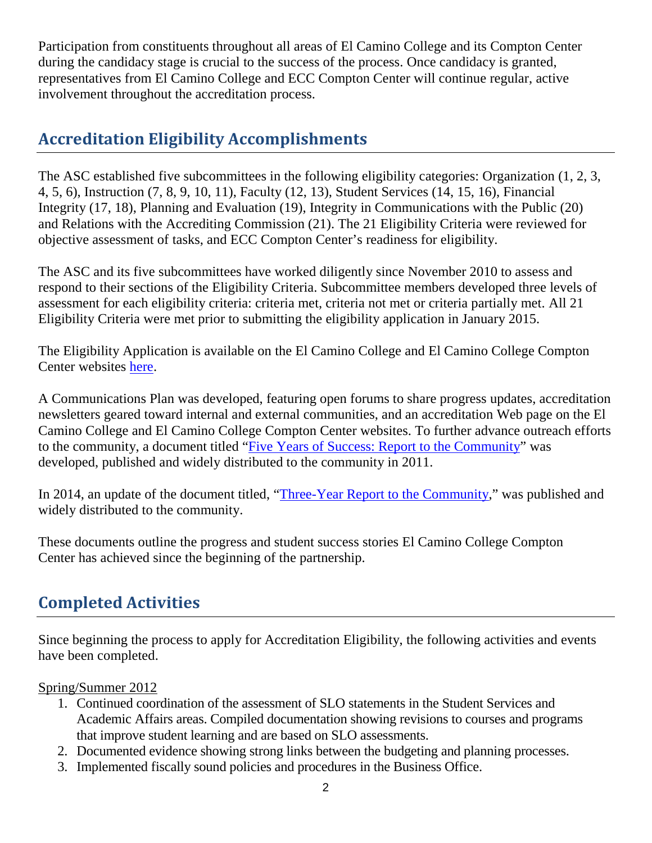Participation from constituents throughout all areas of El Camino College and its Compton Center during the candidacy stage is crucial to the success of the process. Once candidacy is granted, representatives from El Camino College and ECC Compton Center will continue regular, active involvement throughout the accreditation process.

### **Accreditation Eligibility Accomplishments**

The ASC established five subcommittees in the following eligibility categories: Organization (1, 2, 3, 4, 5, 6), Instruction (7, 8, 9, 10, 11), Faculty (12, 13), Student Services (14, 15, 16), Financial Integrity (17, 18), Planning and Evaluation (19), Integrity in Communications with the Public (20) and Relations with the Accrediting Commission (21). The 21 Eligibility Criteria were reviewed for objective assessment of tasks, and ECC Compton Center's readiness for eligibility.

The ASC and its five subcommittees have worked diligently since November 2010 to assess and respond to their sections of the Eligibility Criteria. Subcommittee members developed three levels of assessment for each eligibility criteria: criteria met, criteria not met or criteria partially met. All 21 Eligibility Criteria were met prior to submitting the eligibility application in January 2015.

The Eligibility Application is available on the El Camino College and El Camino College Compton Center websites [here.](http://www.elcamino.edu/administration/vpaa/accreditation/docs/Compton%20Center%20Eligibility%20Application%201.15.2015.pdf)

A Communications Plan was developed, featuring open forums to share progress updates, accreditation newsletters geared toward internal and external communities, and an accreditation Web page on the El Camino College and El Camino College Compton Center websites. To further advance outreach efforts to the community, a document titled ["Five Years of Success: Report to the Community"](http://www.elcamino.edu/administration/publicrelations/docs/CEC-Five-Year-Report-2011.pdf) was developed, published and widely distributed to the community in 2011.

In 2014, an update of the document titled, ["Three-Year Report to the Community,](http://www.elcamino.edu/administration/publicrelations/docs/CEC-Three-Year-Report-2014.pdf)" was published and widely distributed to the community.

These documents outline the progress and student success stories El Camino College Compton Center has achieved since the beginning of the partnership.

### **Completed Activities**

Since beginning the process to apply for Accreditation Eligibility, the following activities and events have been completed.

Spring/Summer 2012

- 1. Continued coordination of the assessment of SLO statements in the Student Services and Academic Affairs areas. Compiled documentation showing revisions to courses and programs that improve student learning and are based on SLO assessments.
- 2. Documented evidence showing strong links between the budgeting and planning processes.
- 3. Implemented fiscally sound policies and procedures in the Business Office.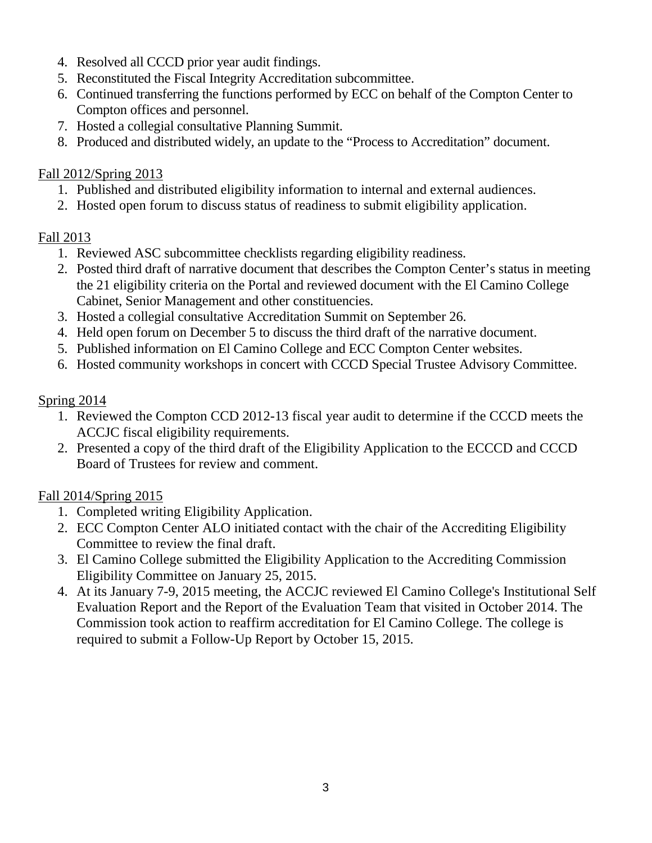- 4. Resolved all CCCD prior year audit findings.
- 5. Reconstituted the Fiscal Integrity Accreditation subcommittee.
- 6. Continued transferring the functions performed by ECC on behalf of the Compton Center to Compton offices and personnel.
- 7. Hosted a collegial consultative Planning Summit.
- 8. Produced and distributed widely, an update to the "Process to Accreditation" document.

#### Fall 2012/Spring 2013

- 1. Published and distributed eligibility information to internal and external audiences.
- 2. Hosted open forum to discuss status of readiness to submit eligibility application.

#### Fall 2013

- 1. Reviewed ASC subcommittee checklists regarding eligibility readiness.
- 2. Posted third draft of narrative document that describes the Compton Center's status in meeting the 21 eligibility criteria on the Portal and reviewed document with the El Camino College Cabinet, Senior Management and other constituencies.
- 3. Hosted a collegial consultative Accreditation Summit on September 26.
- 4. Held open forum on December 5 to discuss the third draft of the narrative document.
- 5. Published information on El Camino College and ECC Compton Center websites.
- 6. Hosted community workshops in concert with CCCD Special Trustee Advisory Committee.

#### Spring 2014

- 1. Reviewed the Compton CCD 2012-13 fiscal year audit to determine if the CCCD meets the ACCJC fiscal eligibility requirements.
- 2. Presented a copy of the third draft of the Eligibility Application to the ECCCD and CCCD Board of Trustees for review and comment.

#### Fall 2014/Spring 2015

- 1. Completed writing Eligibility Application.
- 2. ECC Compton Center ALO initiated contact with the chair of the Accrediting Eligibility Committee to review the final draft.
- 3. El Camino College submitted the Eligibility Application to the Accrediting Commission Eligibility Committee on January 25, 2015.
- 4. At its January 7-9, 2015 meeting, the ACCJC reviewed El Camino College's Institutional Self Evaluation Report and the Report of the Evaluation Team that visited in October 2014. The Commission took action to reaffirm accreditation for El Camino College. The college is required to submit a Follow-Up Report by October 15, 2015.